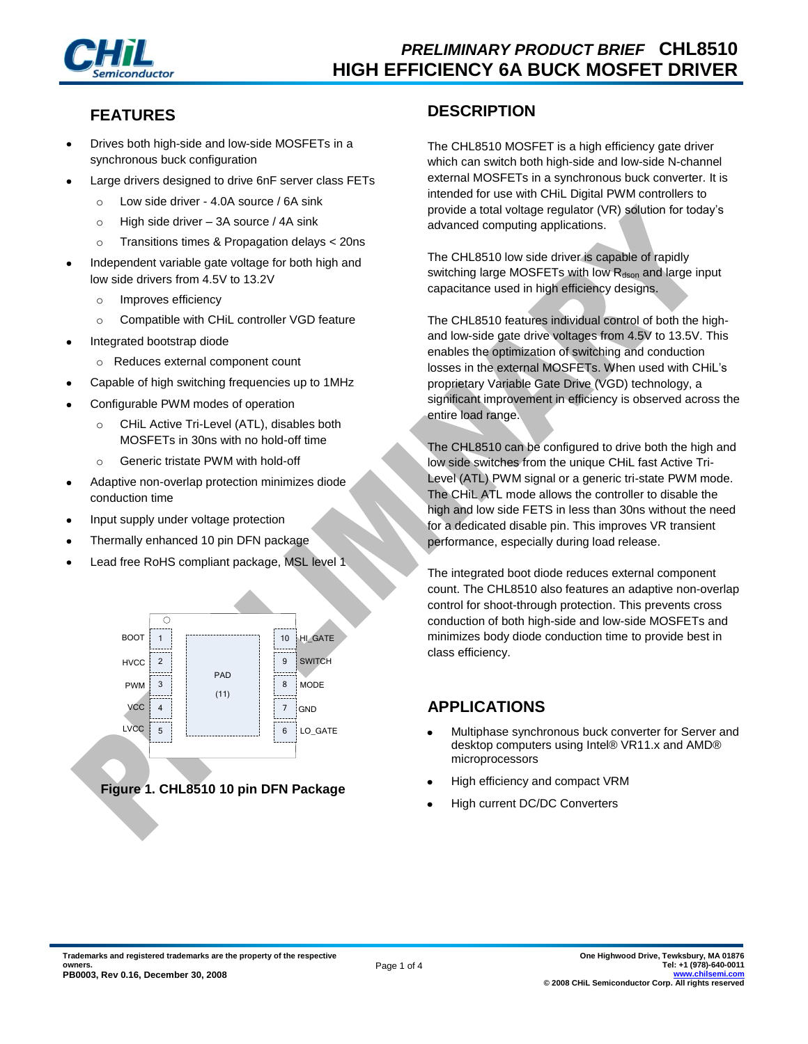

# **FEATURES**

- Drives both high-side and low-side MOSFETs in a synchronous buck configuration
- Large drivers designed to drive 6nF server class FETs
	- o Low side driver 4.0A source / 6A sink
	- o High side driver 3A source / 4A sink
	- o Transitions times & Propagation delays < 20ns
- Independent variable gate voltage for both high and low side drivers from 4.5V to 13.2V
	- o Improves efficiency
	- o Compatible with CHiL controller VGD feature
- Integrated bootstrap diode
	- o Reduces external component count
- Capable of high switching frequencies up to 1MHz
- Configurable PWM modes of operation
	- o CHiL Active Tri-Level (ATL), disables both MOSFETs in 30ns with no hold-off time
	- o Generic tristate PWM with hold-off
- Adaptive non-overlap protection minimizes diode conduction time
- Input supply under voltage protection
- Thermally enhanced 10 pin DFN package
- Lead free RoHS compliant package, MSL level 1



### **DESCRIPTION**

The CHL8510 MOSFET is a high efficiency gate driver which can switch both high-side and low-side N-channel external MOSFETs in a synchronous buck converter. It is intended for use with CHiL Digital PWM controllers to provide a total voltage regulator (VR) solution for today's advanced computing applications.

The CHL8510 low side driver is capable of rapidly switching large MOSFETs with low R<sub>dson</sub> and large input capacitance used in high efficiency designs.

The CHL8510 features individual control of both the highand low-side gate drive voltages from 4.5V to 13.5V. This enables the optimization of switching and conduction losses in the external MOSFETs. When used with CHiL's proprietary Variable Gate Drive (VGD) technology, a significant improvement in efficiency is observed across the entire load range.

The CHL8510 can be configured to drive both the high and low side switches from the unique CHiL fast Active Tri-Level (ATL) PWM signal or a generic tri-state PWM mode. The CHiL ATL mode allows the controller to disable the high and low side FETS in less than 30ns without the need for a dedicated disable pin. This improves VR transient performance, especially during load release.

The integrated boot diode reduces external component count. The CHL8510 also features an adaptive non-overlap control for shoot-through protection. This prevents cross conduction of both high-side and low-side MOSFETs and minimizes body diode conduction time to provide best in class efficiency.

# **APPLICATIONS**

- Multiphase synchronous buck converter for Server and desktop computers using Intel® VR11.x and AMD® microprocessors
- High efficiency and compact VRM
- High current DC/DC Converters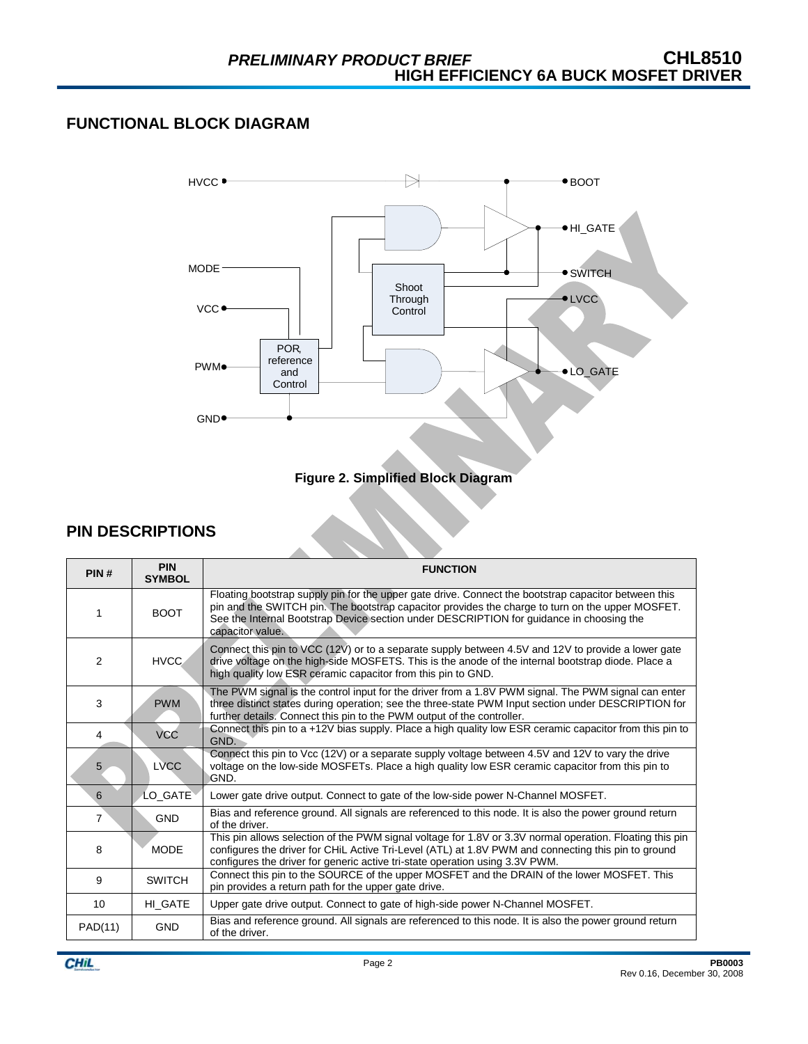### **FUNCTIONAL BLOCK DIAGRAM**





# **PIN DESCRIPTIONS**

| PIN#           | <b>PIN</b><br><b>SYMBOL</b> | <b>FUNCTION</b>                                                                                                                                                                                                                                                                                                          |
|----------------|-----------------------------|--------------------------------------------------------------------------------------------------------------------------------------------------------------------------------------------------------------------------------------------------------------------------------------------------------------------------|
| 1              | <b>BOOT</b>                 | Floating bootstrap supply pin for the upper gate drive. Connect the bootstrap capacitor between this<br>pin and the SWITCH pin. The bootstrap capacitor provides the charge to turn on the upper MOSFET.<br>See the Internal Bootstrap Device section under DESCRIPTION for guidance in choosing the<br>capacitor value. |
| 2              | <b>HVCC</b>                 | Connect this pin to VCC $(12V)$ or to a separate supply between 4.5V and 12V to provide a lower gate<br>drive voltage on the high-side MOSFETS. This is the anode of the internal bootstrap diode. Place a<br>high quality low ESR ceramic capacitor from this pin to GND.                                               |
| 3              | <b>PWM</b>                  | The PWM signal is the control input for the driver from a 1.8V PWM signal. The PWM signal can enter<br>three distinct states during operation; see the three-state PWM Input section under DESCRIPTION for<br>further details. Connect this pin to the PWM output of the controller.                                     |
| 4              | <b>VCC</b>                  | Connect this pin to a +12V bias supply. Place a high quality low ESR ceramic capacitor from this pin to<br>GND.                                                                                                                                                                                                          |
| 5              | <b>LVCC</b>                 | Connect this pin to Vcc (12V) or a separate supply voltage between 4.5V and 12V to vary the drive<br>voltage on the low-side MOSFETs. Place a high quality low ESR ceramic capacitor from this pin to<br>ignd.                                                                                                           |
| 6              | LO_GATE                     | Lower gate drive output. Connect to gate of the low-side power N-Channel MOSFET.                                                                                                                                                                                                                                         |
| $\overline{7}$ | <b>GND</b>                  | Bias and reference ground. All signals are referenced to this node. It is also the power ground return<br>of the driver.                                                                                                                                                                                                 |
| 8              | <b>MODE</b>                 | This pin allows selection of the PWM signal voltage for 1.8V or 3.3V normal operation. Floating this pin<br>configures the driver for CHIL Active Tri-Level (ATL) at 1.8V PWM and connecting this pin to ground<br>configures the driver for generic active tri-state operation using 3.3V PWM.                          |
| 9              | <b>SWITCH</b>               | Connect this pin to the SOURCE of the upper MOSFET and the DRAIN of the lower MOSFET. This<br>pin provides a return path for the upper gate drive.                                                                                                                                                                       |
| 10             | HI GATE                     | Upper gate drive output. Connect to gate of high-side power N-Channel MOSFET.                                                                                                                                                                                                                                            |
| PAD(11)        | <b>GND</b>                  | Bias and reference ground. All signals are referenced to this node. It is also the power ground return<br>of the driver.                                                                                                                                                                                                 |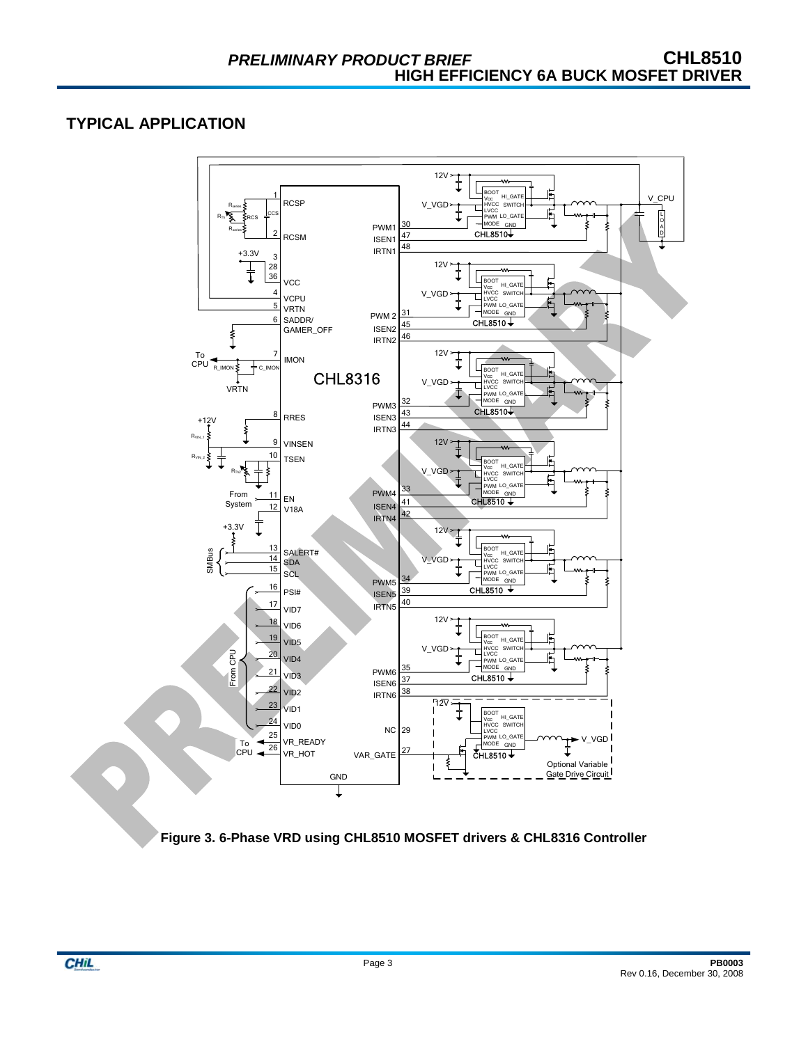# **TYPICAL APPLICATION**



**Figure 3. 6-Phase VRD using CHL8510 MOSFET drivers & CHL8316 Controller** 

**CHIL**